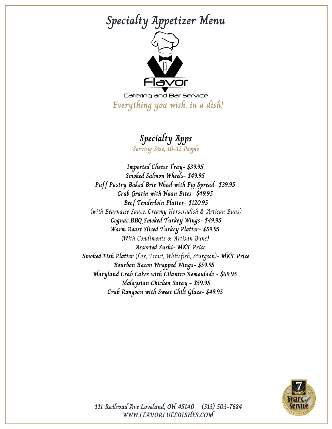# **Specialty Appetizer Menu**



Catering and Bar Service **Everything you wish, in a dish!**

### **Specialty Apps**

**Serving Size, 10-12 People**

**Imported Cheese Tray- \$39.95 Smoked Salmon Wheels- \$49.95 Puff Pastry Baked Brie Wheel with Fig Spread- \$39.95 Crab Gratin with Naan Bites- \$49.95 Beef Tenderloin Platter- \$120.95** (with Béarnaise Sauce, Creamy Horseradish & Artisan Buns) **Cognac BBQ Smoked Turkey Wings- \$49.95 Warm Roast Sliced Turkey Platter- \$59.95** (With Condiments & Artisan Buns) **Assorted Sushi- MKT Price Smoked Fish Platter** (Lox, Trout, Whitefish, Sturgeon)**- MKT Price Bourbon Bacon Wrapped Wings- \$59.95 Maryland Crab Cakes with Cilantro Remoulade - \$69.95 Malaysian Chicken Satay - \$59.95 Crab Rangoon with Sweet Chili Glaze- \$49.95**

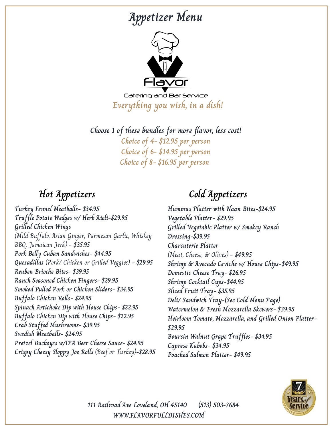## **Appetizer Menu**



Catering and Bar Service **Everything you wish, in a dish!**

**Choose 1 of these bundles for more flavor, less cost! Choice of 4- \$12.95 per person Choice of 6- \$14.95 per person Choice of 8- \$16.95 per person**

**Turkey Fennel Meatballs- \$34.95 Truffle Potato Wedges w/ Herb Aioli-\$29.95 Grilled Chicken Wings** (Mild Buffalo, Asian Ginger, Parmesan Garlic, Whiskey BBQ, Jamaican Jerk) **- \$35.95 Pork Belly Cuban Sandwiches- \$44.95 Quesadillas** (Pork/ Chicken or Grilled Veggies) **- \$29.95 Reuben Brioche Bites- \$39.95 Ranch Seasoned Chicken Fingers- \$29.95 Smoked Pulled Pork or Chicken Sliders- \$34.95 Buffalo Chicken Rolls- \$24.95 Spinach Artichoke Dip with House Chips- \$22.95 Buffalo Chicken Dip with House Chips- \$22.95 Crab Stuffed Mushrooms- \$39.95 Swedish Meatballs- \$24.95 Pretzel Buckeyes w/IPA Beer Cheese Sauce- \$24.95 Crispy Cheesy Sloppy Joe Rolls** (Beef or Turkey)**-\$28.95**

### **Hot Appetizers Cold Appetizers**

**Hummus Platter with Naan Bites-\$24.95 Vegetable Platter- \$29.95 Grilled Vegetable Platter w/ Smokey Ranch Dressing-\$39.95 Charcuterie Platter** (Meat, Cheese, & Olives) **- \$49.95 Shrimp & Avocado Ceviche w/ House Chips-\$49.95 Domestic Cheese Tray- \$26.95 Shrimp Cocktail Cups-\$44.95 Sliced Fruit Tray- \$35.95 Deli/ Sandwich Tray-(See Cold Menu Page) Watermelon & Fresh Mozzarella Skewers- \$39.95 Heirloom Tomato, Mozzarella, and Grilled Onion Platter- \$29.95 Boursin Walnut Grape Truffles- \$34.95 Caprese Kabobs- \$34.95 Poached Salmon Platter- \$49.95**

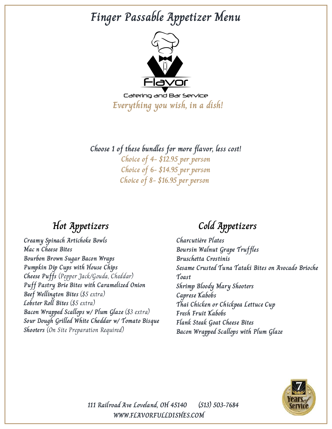## **Finger Passable Appetizer Menu**



Catering and Bar Service **Everything you wish, in a dish!**

**Choose 1 of these bundles for more flavor, less cost! Choice of 4- \$12.95 per person Choice of 6- \$14.95 per person Choice of 8- \$16.95 per person**

**Creamy Spinach Artichoke Bowls Mac n Cheese Bites Bourbon Brown Sugar Bacon Wraps Pumpkin Dip Cups with House Chips Cheese Puffs** (Pepper Jack/Gouda, Cheddar) **Puff Pastry Brie Bites with Caramelized Onion Beef Wellington Bites** (\$5 extra) **Lobster Roll Bites** (\$5 extra) **Bacon Wrapped Scallops w/ Plum Glaze** (\$3 extra) **Sour Dough Grilled White Cheddar w/ Tomato Bisque Shooters** (On Site Preparation Required)

## **Hot Appetizers Cold Appetizers**

**Charcutière Plates Boursin Walnut Grape Truffles Bruschetta Crostinis Sesame Crusted Tuna Tataki Bites on Avocado Brioche Toast Shrimp Bloody Mary Shooters Caprese Kabobs Thai Chicken or Chickpea Lettuce Cup Fresh Fruit Kabobs Flank Steak Goat Cheese Bites Bacon Wrapped Scallops with Plum Glaze**